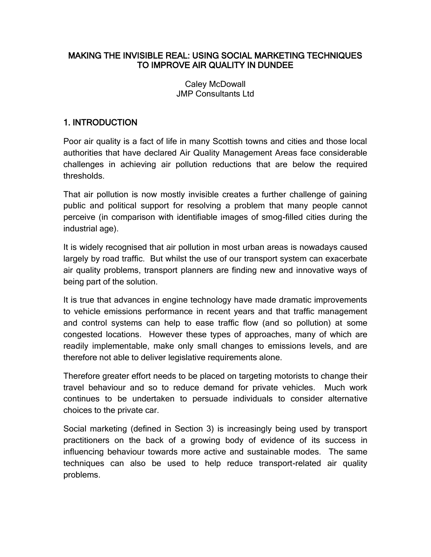### MAKING THE INVISIBLE REAL: USING SOCIAL MARKETING TECHNIQUES TO IMPROVE AIR QUALITY IN DUNDEE

Caley McDowall JMP Consultants Ltd

## 1. INTRODUCTION

Poor air quality is a fact of life in many Scottish towns and cities and those local authorities that have declared Air Quality Management Areas face considerable challenges in achieving air pollution reductions that are below the required thresholds.

That air pollution is now mostly invisible creates a further challenge of gaining public and political support for resolving a problem that many people cannot perceive (in comparison with identifiable images of smog-filled cities during the industrial age).

It is widely recognised that air pollution in most urban areas is nowadays caused largely by road traffic. But whilst the use of our transport system can exacerbate air quality problems, transport planners are finding new and innovative ways of being part of the solution.

It is true that advances in engine technology have made dramatic improvements to vehicle emissions performance in recent years and that traffic management and control systems can help to ease traffic flow (and so pollution) at some congested locations. However these types of approaches, many of which are readily implementable, make only small changes to emissions levels, and are therefore not able to deliver legislative requirements alone.

Therefore greater effort needs to be placed on targeting motorists to change their travel behaviour and so to reduce demand for private vehicles. Much work continues to be undertaken to persuade individuals to consider alternative choices to the private car.

Social marketing (defined in Section 3) is increasingly being used by transport practitioners on the back of a growing body of evidence of its success in influencing behaviour towards more active and sustainable modes. The same techniques can also be used to help reduce transport-related air quality problems.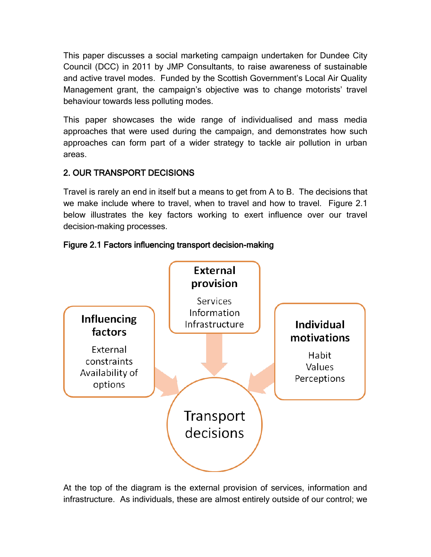This paper discusses a social marketing campaign undertaken for Dundee City Council (DCC) in 2011 by JMP Consultants, to raise awareness of sustainable and active travel modes. Funded by the Scottish Government's Local Air Quality Management grant, the campaign's objective was to change motorists' travel behaviour towards less polluting modes.

This paper showcases the wide range of individualised and mass media approaches that were used during the campaign, and demonstrates how such approaches can form part of a wider strategy to tackle air pollution in urban areas.

# 2. OUR TRANSPORT DECISIONS

Travel is rarely an end in itself but a means to get from A to B. The decisions that we make include where to travel, when to travel and how to travel. Figure 2.1 below illustrates the key factors working to exert influence over our travel decision-making processes.



# Figure 2.1 Factors influencing transport decision-making

At the top of the diagram is the external provision of services, information and infrastructure. As individuals, these are almost entirely outside of our control; we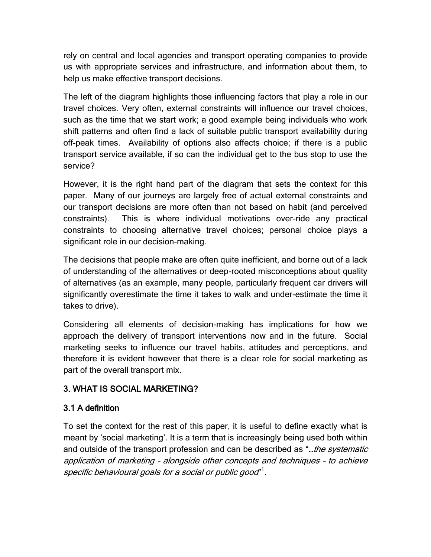rely on central and local agencies and transport operating companies to provide us with appropriate services and infrastructure, and information about them, to help us make effective transport decisions.

The left of the diagram highlights those influencing factors that play a role in our travel choices. Very often, external constraints will influence our travel choices, such as the time that we start work; a good example being individuals who work shift patterns and often find a lack of suitable public transport availability during off-peak times. Availability of options also affects choice; if there is a public transport service available, if so can the individual get to the bus stop to use the service?

However, it is the right hand part of the diagram that sets the context for this paper. Many of our journeys are largely free of actual external constraints and our transport decisions are more often than not based on habit (and perceived constraints). This is where individual motivations over-ride any practical constraints to choosing alternative travel choices; personal choice plays a significant role in our decision-making.

The decisions that people make are often quite inefficient, and borne out of a lack of understanding of the alternatives or deep-rooted misconceptions about quality of alternatives (as an example, many people, particularly frequent car drivers will significantly overestimate the time it takes to walk and under-estimate the time it takes to drive).

Considering all elements of decision-making has implications for how we approach the delivery of transport interventions now and in the future. Social marketing seeks to influence our travel habits, attitudes and perceptions, and therefore it is evident however that there is a clear role for social marketing as part of the overall transport mix.

# 3. WHAT IS SOCIAL MARKETING?

# 3.1 A definition

To set the context for the rest of this paper, it is useful to define exactly what is meant by 'social marketing'. It is a term that is increasingly being used both within and outside of the transport profession and can be described as "...the systematic application of marketing – alongside other concepts and techniques – to achieve specific behavioural goals for a social or public good" $^{\rm 1}.$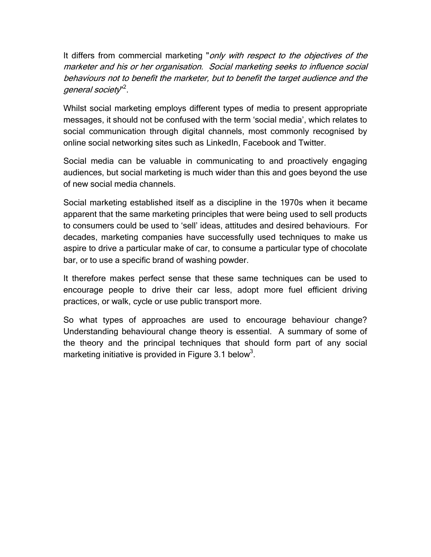It differs from commercial marketing "only with respect to the objectives of the marketer and his or her organisation. Social marketing seeks to influence social behaviours not to benefit the marketer, but to benefit the target audience and the general society"<sup>2</sup>.

Whilst social marketing employs different types of media to present appropriate messages, it should not be confused with the term 'social media', which relates to social communication through digital channels, most commonly recognised by online social networking sites such as LinkedIn, Facebook and Twitter.

Social media can be valuable in communicating to and proactively engaging audiences, but social marketing is much wider than this and goes beyond the use of new social media channels.

Social marketing established itself as a discipline in the 1970s when it became apparent that the same marketing principles that were being used to sell products to consumers could be used to 'sell' ideas, attitudes and desired behaviours. For decades, marketing companies have successfully used techniques to make us aspire to drive a particular make of car, to consume a particular type of chocolate bar, or to use a specific brand of washing powder.

It therefore makes perfect sense that these same techniques can be used to encourage people to drive their car less, adopt more fuel efficient driving practices, or walk, cycle or use public transport more.

So what types of approaches are used to encourage behaviour change? Understanding behavioural change theory is essential. A summary of some of the theory and the principal techniques that should form part of any social marketing initiative is provided in Figure 3.1 below<sup>3</sup>.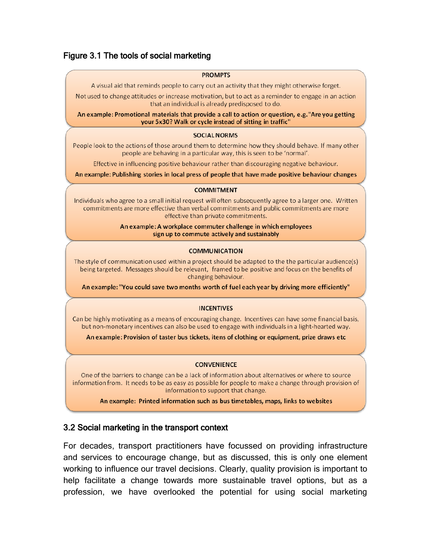## Figure 3.1 The tools of social marketing

#### **PROMPTS**

A visual aid that reminds people to carry out an activity that they might otherwise forget.

Not used to change attitudes or increase motivation, but to act as a reminder to engage in an action that an individual is already predisposed to do.

An example: Promotional materials that provide a call to action or question, e.g. "Are you getting your 5x30? Walk or cycle instead of sitting in traffic"

#### **SOCIAL NORMS**

People look to the actions of those around them to determine how they should behave. If many other people are behaving in a particular way, this is seen to be 'normal'.

Effective in influencing positive behaviour rather than discouraging negative behaviour.

An example: Publishing stories in local press of people that have made positive behaviour changes

#### **COMMITMENT**

Individuals who agree to a small initial request will often subsequently agree to a larger one. Written commitments are more effective than verbal commitments and public commitments are more effective than private commitments.

#### An example: A workplace commuter challenge in which employees sign up to commute actively and sustainably

### **COMMUNICATION**

The style of communication used within a project should be adapted to the the particular audience(s) being targeted. Messages should be relevant, framed to be positive and focus on the benefits of changing behaviour.

An example: "You could save two months worth of fuel each year by driving more efficiently"

### **INCENTIVES**

Can be highly motivating as a means of encouraging change. Incentives can have some financial basis, but non-monetary incentives can also be used to engage with individuals in a light-hearted way.

An example: Provision of taster bus tickets, itens of clothing or equipment, prize draws etc

### **CONVENIENCE**

One of the barriers to change can be a lack of information about alternatives or where to source information from. It needs to be as easy as possible for people to make a change through provision of information to support that change.

An example: Printed information such as bus timetables, maps, links to websites

### 3.2 Social marketing in the transport context

For decades, transport practitioners have focussed on providing infrastructure and services to encourage change, but as discussed, this is only one element working to influence our travel decisions. Clearly, quality provision is important to help facilitate a change towards more sustainable travel options, but as a profession, we have overlooked the potential for using social marketing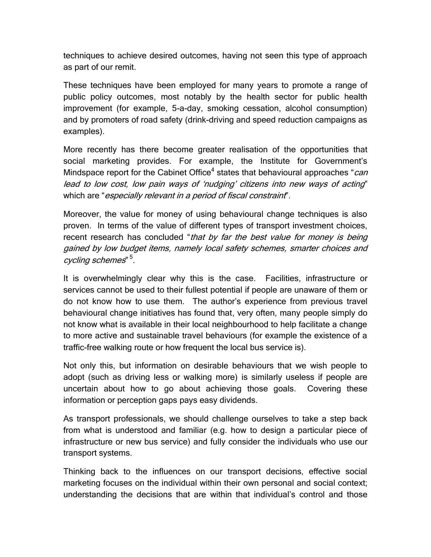techniques to achieve desired outcomes, having not seen this type of approach as part of our remit.

These techniques have been employed for many years to promote a range of public policy outcomes, most notably by the health sector for public health improvement (for example, 5-a-day, smoking cessation, alcohol consumption) and by promoters of road safety (drink-driving and speed reduction campaigns as examples).

More recently has there become greater realisation of the opportunities that social marketing provides. For example, the Institute for Government's Mindspace report for the Cabinet Office<sup>4</sup> states that behavioural approaches "*can* lead to low cost, low pain ways of 'nudging' citizens into new ways of acting" which are "*especially relevant in a period of fiscal constraint*".

Moreover, the value for money of using behavioural change techniques is also proven. In terms of the value of different types of transport investment choices, recent research has concluded "that by far the best value for money is being gained by low budget items, namely local safety schemes, smarter choices and cycling schemes"  $^5$ .

It is overwhelmingly clear why this is the case. Facilities, infrastructure or services cannot be used to their fullest potential if people are unaware of them or do not know how to use them. The author's experience from previous travel behavioural change initiatives has found that, very often, many people simply do not know what is available in their local neighbourhood to help facilitate a change to more active and sustainable travel behaviours (for example the existence of a traffic-free walking route or how frequent the local bus service is).

Not only this, but information on desirable behaviours that we wish people to adopt (such as driving less or walking more) is similarly useless if people are uncertain about how to go about achieving those goals. Covering these information or perception gaps pays easy dividends.

As transport professionals, we should challenge ourselves to take a step back from what is understood and familiar (e.g. how to design a particular piece of infrastructure or new bus service) and fully consider the individuals who use our transport systems.

Thinking back to the influences on our transport decisions, effective social marketing focuses on the individual within their own personal and social context; understanding the decisions that are within that individual's control and those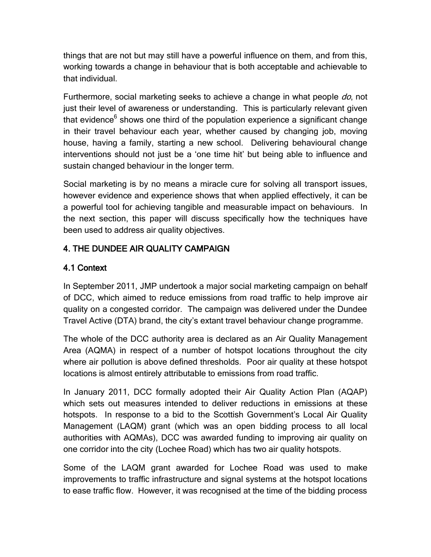things that are not but may still have a powerful influence on them, and from this, working towards a change in behaviour that is both acceptable and achievable to that individual.

Furthermore, social marketing seeks to achieve a change in what people do, not just their level of awareness or understanding. This is particularly relevant given that evidence<sup>6</sup> shows one third of the population experience a significant change in their travel behaviour each year, whether caused by changing job, moving house, having a family, starting a new school. Delivering behavioural change interventions should not just be a 'one time hit' but being able to influence and sustain changed behaviour in the longer term.

Social marketing is by no means a miracle cure for solving all transport issues, however evidence and experience shows that when applied effectively, it can be a powerful tool for achieving tangible and measurable impact on behaviours. In the next section, this paper will discuss specifically how the techniques have been used to address air quality objectives.

# 4. THE DUNDEE AIR QUALITY CAMPAIGN

# 4.1 Context

In September 2011, JMP undertook a major social marketing campaign on behalf of DCC, which aimed to reduce emissions from road traffic to help improve air quality on a congested corridor. The campaign was delivered under the Dundee Travel Active (DTA) brand, the city's extant travel behaviour change programme.

The whole of the DCC authority area is declared as an Air Quality Management Area (AQMA) in respect of a number of hotspot locations throughout the city where air pollution is above defined thresholds. Poor air quality at these hotspot locations is almost entirely attributable to emissions from road traffic.

In January 2011, DCC formally adopted their Air Quality Action Plan (AQAP) which sets out measures intended to deliver reductions in emissions at these hotspots. In response to a bid to the Scottish Government's Local Air Quality Management (LAQM) grant (which was an open bidding process to all local authorities with AQMAs), DCC was awarded funding to improving air quality on one corridor into the city (Lochee Road) which has two air quality hotspots.

Some of the LAQM grant awarded for Lochee Road was used to make improvements to traffic infrastructure and signal systems at the hotspot locations to ease traffic flow. However, it was recognised at the time of the bidding process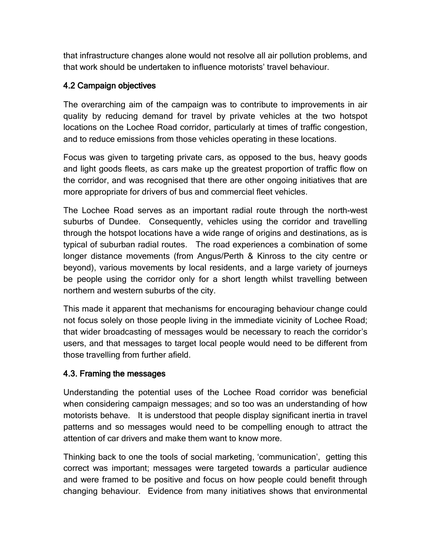that infrastructure changes alone would not resolve all air pollution problems, and that work should be undertaken to influence motorists' travel behaviour.

## 4.2 Campaign objectives

The overarching aim of the campaign was to contribute to improvements in air quality by reducing demand for travel by private vehicles at the two hotspot locations on the Lochee Road corridor, particularly at times of traffic congestion, and to reduce emissions from those vehicles operating in these locations.

Focus was given to targeting private cars, as opposed to the bus, heavy goods and light goods fleets, as cars make up the greatest proportion of traffic flow on the corridor, and was recognised that there are other ongoing initiatives that are more appropriate for drivers of bus and commercial fleet vehicles.

The Lochee Road serves as an important radial route through the north-west suburbs of Dundee. Consequently, vehicles using the corridor and travelling through the hotspot locations have a wide range of origins and destinations, as is typical of suburban radial routes. The road experiences a combination of some longer distance movements (from Angus/Perth & Kinross to the city centre or beyond), various movements by local residents, and a large variety of journeys be people using the corridor only for a short length whilst travelling between northern and western suburbs of the city.

This made it apparent that mechanisms for encouraging behaviour change could not focus solely on those people living in the immediate vicinity of Lochee Road; that wider broadcasting of messages would be necessary to reach the corridor's users, and that messages to target local people would need to be different from those travelling from further afield.

## 4.3. Framing the messages

Understanding the potential uses of the Lochee Road corridor was beneficial when considering campaign messages; and so too was an understanding of how motorists behave. It is understood that people display significant inertia in travel patterns and so messages would need to be compelling enough to attract the attention of car drivers and make them want to know more.

Thinking back to one the tools of social marketing, 'communication', getting this correct was important; messages were targeted towards a particular audience and were framed to be positive and focus on how people could benefit through changing behaviour. Evidence from many initiatives shows that environmental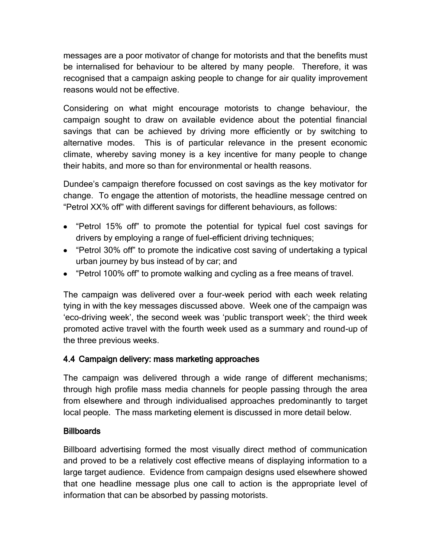messages are a poor motivator of change for motorists and that the benefits must be internalised for behaviour to be altered by many people. Therefore, it was recognised that a campaign asking people to change for air quality improvement reasons would not be effective.

Considering on what might encourage motorists to change behaviour, the campaign sought to draw on available evidence about the potential financial savings that can be achieved by driving more efficiently or by switching to alternative modes. This is of particular relevance in the present economic climate, whereby saving money is a key incentive for many people to change their habits, and more so than for environmental or health reasons.

Dundee's campaign therefore focussed on cost savings as the key motivator for change. To engage the attention of motorists, the headline message centred on "Petrol XX% off" with different savings for different behaviours, as follows:

- "Petrol 15% off" to promote the potential for typical fuel cost savings for drivers by employing a range of fuel-efficient driving techniques;
- "Petrol 30% off" to promote the indicative cost saving of undertaking a typical urban journey by bus instead of by car; and
- "Petrol 100% off" to promote walking and cycling as a free means of travel.

The campaign was delivered over a four-week period with each week relating tying in with the key messages discussed above. Week one of the campaign was 'eco-driving week', the second week was 'public transport week'; the third week promoted active travel with the fourth week used as a summary and round-up of the three previous weeks.

# 4.4 Campaign delivery: mass marketing approaches

The campaign was delivered through a wide range of different mechanisms; through high profile mass media channels for people passing through the area from elsewhere and through individualised approaches predominantly to target local people. The mass marketing element is discussed in more detail below.

# **Billboards**

Billboard advertising formed the most visually direct method of communication and proved to be a relatively cost effective means of displaying information to a large target audience. Evidence from campaign designs used elsewhere showed that one headline message plus one call to action is the appropriate level of information that can be absorbed by passing motorists.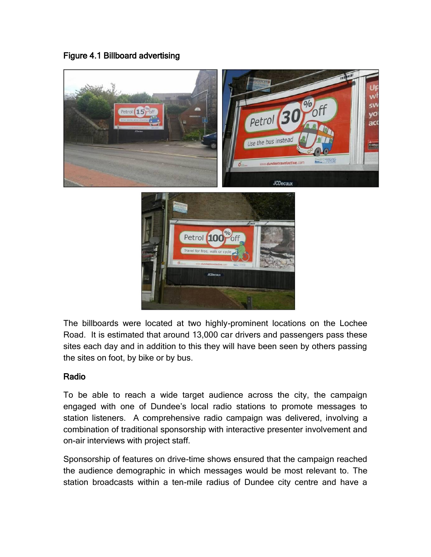Figure 4.1 Billboard advertising



The billboards were located at two highly-prominent locations on the Lochee Road. It is estimated that around 13,000 car drivers and passengers pass these sites each day and in addition to this they will have been seen by others passing the sites on foot, by bike or by bus.

# Radio

To be able to reach a wide target audience across the city, the campaign engaged with one of Dundee's local radio stations to promote messages to station listeners. A comprehensive radio campaign was delivered, involving a combination of traditional sponsorship with interactive presenter involvement and on-air interviews with project staff.

Sponsorship of features on drive-time shows ensured that the campaign reached the audience demographic in which messages would be most relevant to. The station broadcasts within a ten-mile radius of Dundee city centre and have a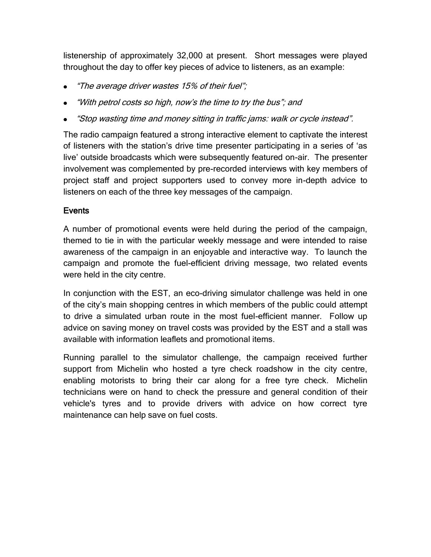listenership of approximately 32,000 at present. Short messages were played throughout the day to offer key pieces of advice to listeners, as an example:

- "The average driver wastes 15% of their fuel";
- "With petrol costs so high, now's the time to try the bus"; and
- "Stop wasting time and money sitting in traffic jams: walk or cycle instead".

The radio campaign featured a strong interactive element to captivate the interest of listeners with the station's drive time presenter participating in a series of 'as live' outside broadcasts which were subsequently featured on-air. The presenter involvement was complemented by pre-recorded interviews with key members of project staff and project supporters used to convey more in-depth advice to listeners on each of the three key messages of the campaign.

## **Events**

A number of promotional events were held during the period of the campaign, themed to tie in with the particular weekly message and were intended to raise awareness of the campaign in an enjoyable and interactive way. To launch the campaign and promote the fuel-efficient driving message, two related events were held in the city centre.

In conjunction with the EST, an eco-driving simulator challenge was held in one of the city's main shopping centres in which members of the public could attempt to drive a simulated urban route in the most fuel-efficient manner. Follow up advice on saving money on travel costs was provided by the EST and a stall was available with information leaflets and promotional items.

Running parallel to the simulator challenge, the campaign received further support from Michelin who hosted a tyre check roadshow in the city centre, enabling motorists to bring their car along for a free tyre check. Michelin technicians were on hand to check the pressure and general condition of their vehicle's tyres and to provide drivers with advice on how correct tyre maintenance can help save on fuel costs.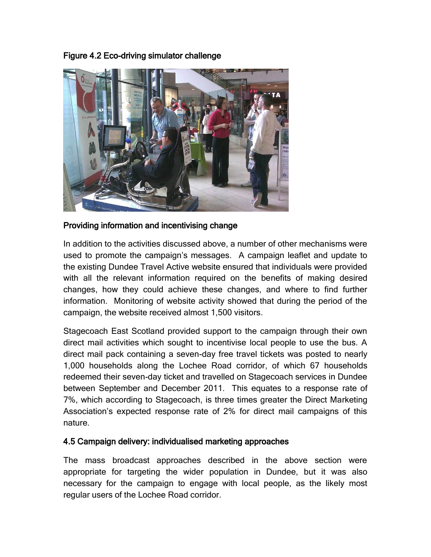Figure 4.2 Eco-driving simulator challenge



## Providing information and incentivising change

In addition to the activities discussed above, a number of other mechanisms were used to promote the campaign's messages. A campaign leaflet and update to the existing Dundee Travel Active website ensured that individuals were provided with all the relevant information required on the benefits of making desired changes, how they could achieve these changes, and where to find further information. Monitoring of website activity showed that during the period of the campaign, the website received almost 1,500 visitors.

Stagecoach East Scotland provided support to the campaign through their own direct mail activities which sought to incentivise local people to use the bus. A direct mail pack containing a seven-day free travel tickets was posted to nearly 1,000 households along the Lochee Road corridor, of which 67 households redeemed their seven-day ticket and travelled on Stagecoach services in Dundee between September and December 2011. This equates to a response rate of 7%, which according to Stagecoach, is three times greater the Direct Marketing Association's expected response rate of 2% for direct mail campaigns of this nature.

## 4.5 Campaign delivery: individualised marketing approaches

The mass broadcast approaches described in the above section were appropriate for targeting the wider population in Dundee, but it was also necessary for the campaign to engage with local people, as the likely most regular users of the Lochee Road corridor.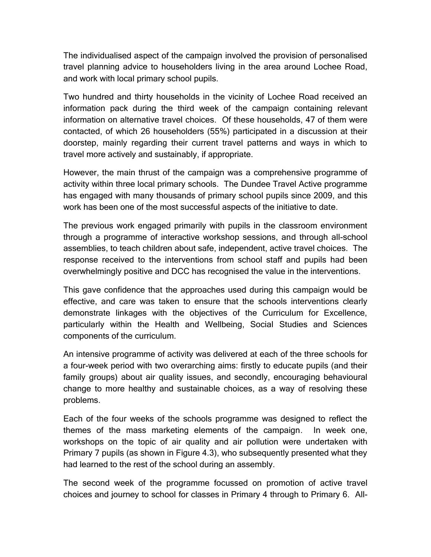The individualised aspect of the campaign involved the provision of personalised travel planning advice to householders living in the area around Lochee Road, and work with local primary school pupils.

Two hundred and thirty households in the vicinity of Lochee Road received an information pack during the third week of the campaign containing relevant information on alternative travel choices. Of these households, 47 of them were contacted, of which 26 householders (55%) participated in a discussion at their doorstep, mainly regarding their current travel patterns and ways in which to travel more actively and sustainably, if appropriate.

However, the main thrust of the campaign was a comprehensive programme of activity within three local primary schools. The Dundee Travel Active programme has engaged with many thousands of primary school pupils since 2009, and this work has been one of the most successful aspects of the initiative to date.

The previous work engaged primarily with pupils in the classroom environment through a programme of interactive workshop sessions, and through all-school assemblies, to teach children about safe, independent, active travel choices. The response received to the interventions from school staff and pupils had been overwhelmingly positive and DCC has recognised the value in the interventions.

This gave confidence that the approaches used during this campaign would be effective, and care was taken to ensure that the schools interventions clearly demonstrate linkages with the objectives of the Curriculum for Excellence, particularly within the Health and Wellbeing, Social Studies and Sciences components of the curriculum.

An intensive programme of activity was delivered at each of the three schools for a four-week period with two overarching aims: firstly to educate pupils (and their family groups) about air quality issues, and secondly, encouraging behavioural change to more healthy and sustainable choices, as a way of resolving these problems.

Each of the four weeks of the schools programme was designed to reflect the themes of the mass marketing elements of the campaign. In week one, workshops on the topic of air quality and air pollution were undertaken with Primary 7 pupils (as shown in Figure 4.3), who subsequently presented what they had learned to the rest of the school during an assembly.

The second week of the programme focussed on promotion of active travel choices and journey to school for classes in Primary 4 through to Primary 6. All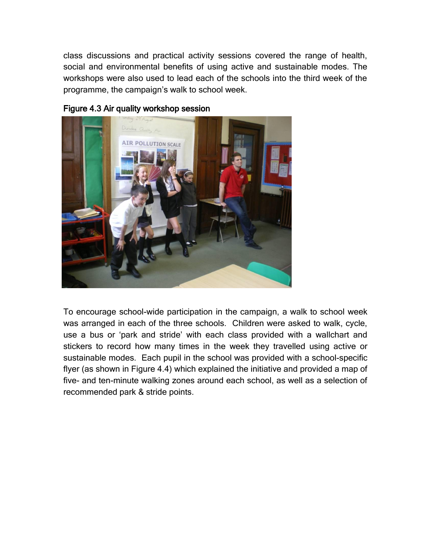class discussions and practical activity sessions covered the range of health, social and environmental benefits of using active and sustainable modes. The workshops were also used to lead each of the schools into the third week of the programme, the campaign's walk to school week.



### Figure 4.3 Air quality workshop session

To encourage school-wide participation in the campaign, a walk to school week was arranged in each of the three schools. Children were asked to walk, cycle, use a bus or 'park and stride' with each class provided with a wallchart and stickers to record how many times in the week they travelled using active or sustainable modes. Each pupil in the school was provided with a school-specific flyer (as shown in Figure 4.4) which explained the initiative and provided a map of five- and ten-minute walking zones around each school, as well as a selection of recommended park & stride points.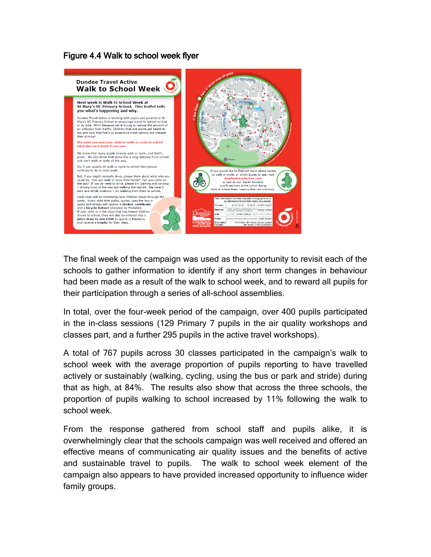## Figure 4.4 Walk to school week flyer



The final week of the campaign was used as the opportunity to revisit each of the schools to gather information to identify if any short term changes in behaviour had been made as a result of the walk to school week, and to reward all pupils for their participation through a series of all-school assemblies.

In total, over the four-week period of the campaign, over 400 pupils participated in the in-class sessions (129 Primary 7 pupils in the air quality workshops and classes part, and a further 295 pupils in the active travel workshops).

A total of 767 pupils across 30 classes participated in the campaign's walk to school week with the average proportion of pupils reporting to have travelled actively or sustainably (walking, cycling, using the bus or park and stride) during that as high, at 84%. The results also show that across the three schools, the proportion of pupils walking to school increased by 11% following the walk to school week.

From the response gathered from school staff and pupils alike, it is overwhelmingly clear that the schools campaign was well received and offered an effective means of communicating air quality issues and the benefits of active and sustainable travel to pupils. The walk to school week element of the campaign also appears to have provided increased opportunity to influence wider family groups.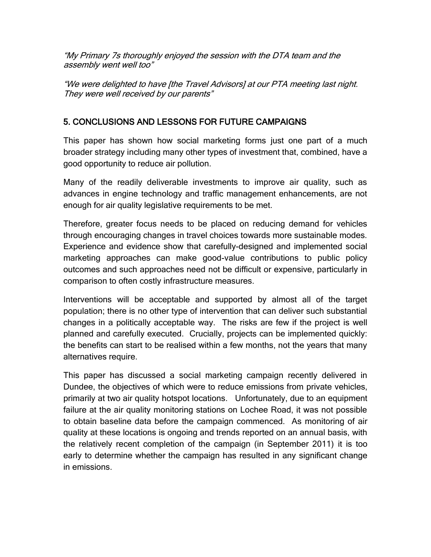"My Primary 7s thoroughly enjoyed the session with the DTA team and the assembly went well too"

"We were delighted to have [the Travel Advisors] at our PTA meeting last night. They were well received by our parents"

# 5. CONCLUSIONS AND LESSONS FOR FUTURE CAMPAIGNS

This paper has shown how social marketing forms just one part of a much broader strategy including many other types of investment that, combined, have a good opportunity to reduce air pollution.

Many of the readily deliverable investments to improve air quality, such as advances in engine technology and traffic management enhancements, are not enough for air quality legislative requirements to be met.

Therefore, greater focus needs to be placed on reducing demand for vehicles through encouraging changes in travel choices towards more sustainable modes. Experience and evidence show that carefully-designed and implemented social marketing approaches can make good-value contributions to public policy outcomes and such approaches need not be difficult or expensive, particularly in comparison to often costly infrastructure measures.

Interventions will be acceptable and supported by almost all of the target population; there is no other type of intervention that can deliver such substantial changes in a politically acceptable way. The risks are few if the project is well planned and carefully executed. Crucially, projects can be implemented quickly: the benefits can start to be realised within a few months, not the years that many alternatives require.

This paper has discussed a social marketing campaign recently delivered in Dundee, the objectives of which were to reduce emissions from private vehicles, primarily at two air quality hotspot locations. Unfortunately, due to an equipment failure at the air quality monitoring stations on Lochee Road, it was not possible to obtain baseline data before the campaign commenced. As monitoring of air quality at these locations is ongoing and trends reported on an annual basis, with the relatively recent completion of the campaign (in September 2011) it is too early to determine whether the campaign has resulted in any significant change in emissions.